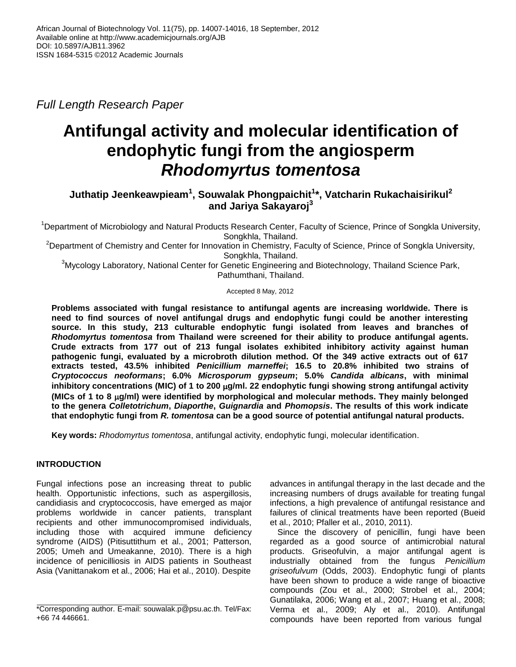*Full Length Research Paper*

# **Antifungal activity and molecular identification of endophytic fungi from the angiosperm** *Rhodomyrtus tomentosa*

# **Juthatip Jeenkeawpieam<sup>1</sup> , Souwalak Phongpaichit<sup>1</sup> \*, Vatcharin Rukachaisirikul<sup>2</sup> and Jariya Sakayaroj<sup>3</sup>**

<sup>1</sup>Department of Microbiology and Natural Products Research Center, Faculty of Science, Prince of Songkla University, Songkhla, Thailand.

<sup>2</sup>Department of Chemistry and Center for Innovation in Chemistry, Faculty of Science, Prince of Songkla University, Songkhla, Thailand.

 $3$ Mycology Laboratory, National Center for Genetic Engineering and Biotechnology, Thailand Science Park, Pathumthani, Thailand.

## Accepted 8 May, 2012

**Problems associated with fungal resistance to antifungal agents are increasing worldwide. There is need to find sources of novel antifungal drugs and endophytic fungi could be another interesting source. In this study, 213 culturable endophytic fungi isolated from leaves and branches of**  *Rhodomyrtus tomentosa* **from Thailand were screened for their ability to produce antifungal agents. Crude extracts from 177 out of 213 fungal isolates exhibited inhibitory activity against human pathogenic fungi, evaluated by a microbroth dilution method. Of the 349 active extracts out of 617 extracts tested, 43.5% inhibited** *Penicillium marneffei***; 16.5 to 20.8% inhibited two strains of**  *Cryptococcus neoformans***; 6.0%** *Microsporum gypseum***; 5.0%** *Candida albicans***, with minimal inhibitory concentrations (MIC) of 1 to 200 g/ml. 22 endophytic fungi showing strong antifungal activity (MICs of 1 to 8 g/ml) were identified by morphological and molecular methods. They mainly belonged to the genera** *Colletotrichum***,** *Diaporthe***,** *Guignardia* **and** *Phomopsis***. The results of this work indicate that endophytic fungi from** *R. tomentosa* **can be a good source of potential antifungal natural products.**

**Key words:** *Rhodomyrtus tomentosa*, antifungal activity, endophytic fungi, molecular identification.

# **INTRODUCTION**

Fungal infections pose an increasing threat to public health. Opportunistic infections, such as aspergillosis, candidiasis and cryptococcosis, have emerged as major problems worldwide in cancer patients, transplant recipients and other immunocompromised individuals, including those with acquired immune deficiency syndrome (AIDS) (Pitisuttithum et al., 2001; Patterson, 2005; Umeh and Umeakanne, 2010). There is a high incidence of penicilliosis in AIDS patients in Southeast Asia (Vanittanakom et al., 2006; Hai et al., 2010). Despite

advances in antifungal therapy in the last decade and the increasing numbers of drugs available for treating fungal infections, a high prevalence of antifungal resistance and failures of clinical treatments have been reported (Bueid et al., 2010; Pfaller et al., 2010, 2011).

Since the discovery of penicillin, fungi have been regarded as a good source of antimicrobial natural products. Griseofulvin, a major antifungal agent is industrially obtained from the fungus *Penicillium griseofulvum* (Odds, 2003). Endophytic fungi of plants have been shown to produce a wide range of bioactive compounds (Zou et al., 2000; Strobel et al., 2004; Gunatilaka, 2006; Wang et al., 2007; Huang et al., 2008; Verma et al., 2009; Aly et al., 2010). Antifungal compounds have been reported from various fungal

<sup>\*</sup>Corresponding author. E-mail: souwalak.p@psu.ac.th. Tel/Fax: +66 74 446661.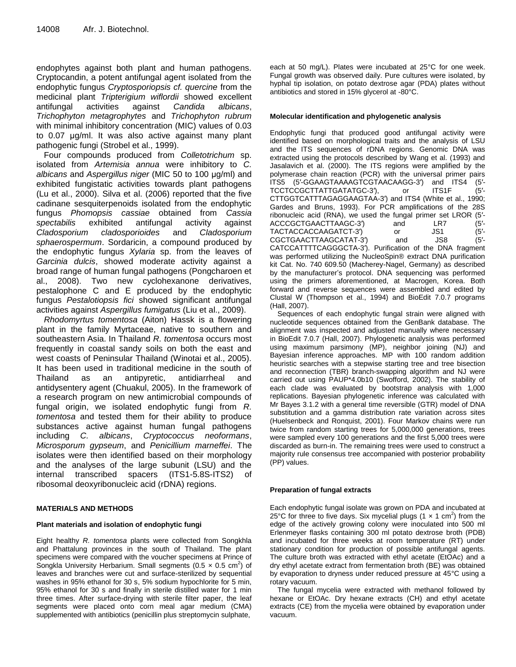endophytes against both plant and human pathogens. Cryptocandin, a potent antifungal agent isolated from the endophytic fungus *Cryptosporiopsis cf. quercine* from the medicinal plant *Tripterigium wiflordii* showed excellent antifungal activities against *Candida albicans*, *Trichophyton metagrophytes* and *Trichophyton rubrum*  with minimal inhibitory concentration (MIC) values of 0.03 to 0.07 μg/ml. It was also active against many plant pathogenic fungi (Strobel et al., 1999).

Four compounds produced from *Colletotrichum* sp. isolated from *Artemisia annua* were inhibitory to *C. albicans* and *Aspergillus niger* (MIC 50 to 100 μg/ml) and exhibited fungistatic activities towards plant pathogens (Lu et al., 2000). Silva et al. (2006) reported that the five cadinane sesquiterpenoids isolated from the endophytic fungus *Phomopsis cassiae* obtained from *Cassia spectabilis* exhibited antifungal activity against *Cladosporium cladosporioides* and *Cladosporium sphaerospermum*. Sordaricin, a compound produced by the endophytic fungus *Xylaria* sp. from the leaves of *Garcinia dulcis*, showed moderate activity against a broad range of human fungal pathogens (Pongcharoen et al., 2008). Two new cyclohexanone derivatives, pestalophone C and E produced by the endophytic fungus *Pestalotiopsis fici* showed significant antifungal activities against *Aspergillus fumigatus* (Liu et al., 2009).

*Rhodomyrtus tomentosa* (Aiton) Hassk is a flowering plant in the family Myrtaceae, native to southern and southeastern Asia. In Thailand *R. tomentosa* occurs most frequently in coastal sandy soils on both the east and west coasts of Peninsular Thailand (Winotai et al., 2005). It has been used in traditional medicine in the south of Thailand as an antipyretic, antidiarrheal and antidysentery agent (Chuakul, 2005). In the framework of a research program on new antimicrobial compounds of fungal origin, we isolated endophytic fungi from *R. tomentosa* and tested them for their ability to produce substances active against human fungal pathogens including *C. albicans*, *Cryptococcus neoformans*, *Microsporum gypseum*, and *Penicillium marneffei*. The isolates were then identified based on their morphology and the analyses of the large subunit (LSU) and the internal transcribed spacers (ITS1-5.8S-ITS2) of ribosomal deoxyribonucleic acid (rDNA) regions.

## **MATERIALS AND METHODS**

#### **Plant materials and isolation of endophytic fungi**

Eight healthy *R. tomentosa* plants were collected from Songkhla and Phattalung provinces in the south of Thailand. The plant specimens were compared with the voucher specimens at Prince of Songkla University Herbarium. Small segments (0.5  $\times$  0.5 cm<sup>2</sup>) of leaves and branches were cut and surface-sterilized by sequential washes in 95% ethanol for 30 s, 5% sodium hypochlorite for 5 min, 95% ethanol for 30 s and finally in sterile distilled water for 1 min three times. After surface-drying with sterile filter paper, the leaf segments were placed onto corn meal agar medium (CMA) supplemented with antibiotics (penicillin plus streptomycin sulphate,

each at 50 mg/L). Plates were incubated at 25°C for one week. Fungal growth was observed daily. Pure cultures were isolated, by hyphal tip isolation, on potato dextrose agar (PDA) plates without antibiotics and stored in 15% glycerol at -80°C.

### **Molecular identification and phylogenetic analysis**

Endophytic fungi that produced good antifungal activity were identified based on morphological traits and the analysis of LSU and the ITS sequences of rDNA regions. Genomic DNA was extracted using the protocols described by Wang et al. (1993) and Jasalavich et al. (2000). The ITS regions were amplified by the polymerase chain reaction (PCR) with the universal primer pairs ITS5 (5′-GGAAGTAAAAGTCGTAACAAGG-3′) and ITS4 (5′- TCCTCCGCTTATTGATATGC-3′), or ITS1F (5′- CTTGGTCATTTAGAGGAAGTAA-3′) and ITS4 (White et al., 1990; Gardes and Bruns, 1993). For PCR amplifications of the 28S ribonucleic acid (RNA), we used the fungal primer set LROR (5′- ACCCGCTGAACTTAAGC-3′) and LR7 (5′- TACTACCACCAAGATCT-3<sup>'</sup> or JS1 (5'-CGCTGAACTTAAGCATAT-3′) and JS8 (5′- CATCCATTTTCAGGGCTA-3′). Purification of the DNA fragment was performed utilizing the NucleoSpin® extract DNA purification kit Cat. No. 740 609.50 (Macherey-Nagel, Germany) as described by the manufacturer's protocol. DNA sequencing was performed using the primers aforementioned, at Macrogen, Korea. Both forward and reverse sequences were assembled and edited by Clustal W (Thompson et al., 1994) and BioEdit 7.0.7 programs (Hall, 2007).

Sequences of each endophytic fungal strain were aligned with nucleotide sequences obtained from the GenBank database. The alignment was inspected and adjusted manually where necessary in BioEdit 7.0.7 (Hall, 2007). Phylogenetic analysis was performed using maximum parsimony (MP), neighbor joining (NJ) and Bayesian inference approaches. MP with 100 random addition heuristic searches with a stepwise starting tree and tree bisection and reconnection (TBR) branch-swapping algorithm and NJ were carried out using PAUP\*4.0b10 (Swofford, 2002). The stability of each clade was evaluated by bootstrap analysis with 1,000 replications. Bayesian phylogenetic inference was calculated with Mr Bayes 3.1.2 with a general time reversible (GTR) model of DNA substitution and a gamma distribution rate variation across sites (Huelsenbeck and Ronquist, 2001). Four Markov chains were run twice from random starting trees for 5,000,000 generations, trees were sampled every 100 generations and the first 5,000 trees were discarded as burn-in. The remaining trees were used to construct a majority rule consensus tree accompanied with posterior probability (PP) values.

#### **Preparation of fungal extracts**

Each endophytic fungal isolate was grown on PDA and incubated at 25°C for three to five days. Six mycelial plugs  $(1 \times 1 \text{ cm}^2)$  from the edge of the actively growing colony were inoculated into 500 ml Erlenmeyer flasks containing 300 ml potato dextrose broth (PDB) and incubated for three weeks at room temperature (RT) under stationary condition for production of possible antifungal agents. The culture broth was extracted with ethyl acetate (EtOAc) and a dry ethyl acetate extract from fermentation broth (BE) was obtained by evaporation to dryness under reduced pressure at 45°C using a rotary vacuum.

The fungal mycelia were extracted with methanol followed by hexane or EtOAc. Dry hexane extracts (CH) and ethyl acetate extracts (CE) from the mycelia were obtained by evaporation under vacuum.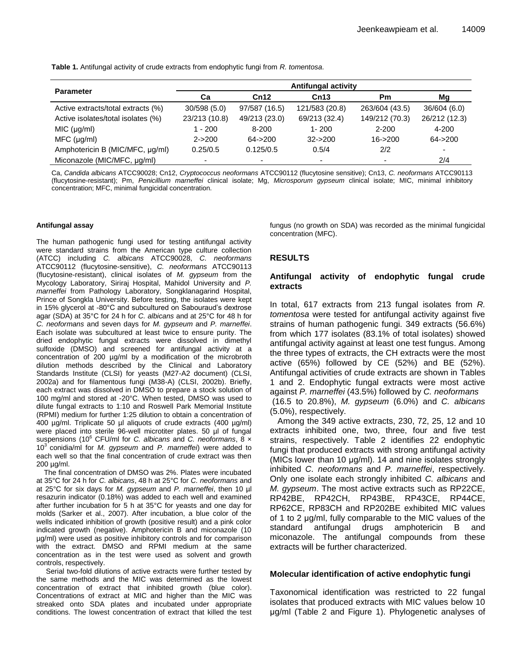**Table 1.** Antifungal activity of crude extracts from endophytic fungi from *R. tomentosa*.

|                                    | <b>Antifungal activity</b> |                          |                |                |                          |  |  |  |
|------------------------------------|----------------------------|--------------------------|----------------|----------------|--------------------------|--|--|--|
| <b>Parameter</b>                   | Ca                         | Cn12<br>Cn13             |                | <b>Pm</b>      | Mg                       |  |  |  |
| Active extracts/total extracts (%) | 30/598(5.0)                | 97/587 (16.5)            | 121/583 (20.8) | 263/604 (43.5) | 36/604 (6.0)             |  |  |  |
| Active isolates/total isolates (%) | 23/213 (10.8)              | 49/213 (23.0)            | 69/213 (32.4)  | 149/212 (70.3) | 26/212 (12.3)            |  |  |  |
| MIC (µg/ml)                        | $-200$                     | $8 - 200$                | $1 - 200$      | $2 - 200$      | $4 - 200$                |  |  |  |
| MFC (µq/ml)                        | $2 - 200$                  | $64 - 200$               | $32 - 200$     | $16 - 200$     | $64 - 200$               |  |  |  |
| Amphotericin B (MIC/MFC, µg/ml)    | 0.25/0.5                   | 0.125/0.5                | 0.5/4          | 2/2            | $\overline{\phantom{0}}$ |  |  |  |
| Miconazole (MIC/MFC, µg/ml)        | $\overline{\phantom{0}}$   | $\overline{\phantom{0}}$ |                | -              | 2/4                      |  |  |  |

Ca, *Candida albicans* ATCC90028; Cn12, *Cryptococcus neoformans* ATCC90112 (flucytosine sensitive); Cn13, *C. neoformans* ATCC90113 (flucytosine-resistant); Pm, *Penicillium marneffei* clinical isolate; Mg, *Microsporum gypseum* clinical isolate; MIC, minimal inhibitory concentration; MFC, minimal fungicidal concentration.

#### **Antifungal assay**

The human pathogenic fungi used for testing antifungal activity were standard strains from the American type culture collection (ATCC) including *C. albicans* ATCC90028, *C. neoformans* ATCC90112 (flucytosine-sensitive), *C. neoformans* ATCC90113 (flucytosine-resistant), clinical isolates of *M. gypseum* from the Mycology Laboratory, Siriraj Hospital, Mahidol University and *P. marneffei* from Pathology Laboratory, Songklanagarind Hospital, Prince of Songkla University. Before testing, the isolates were kept in 15% glycerol at -80°C and subcultured on Sabouraud's dextrose agar (SDA) at 35°C for 24 h for *C. albicans* and at 25°C for 48 h for *C. neoformans* and seven days for *M. gypseum* and *P. marneffei*. Each isolate was subcultured at least twice to ensure purity. The dried endophytic fungal extracts were dissolved in dimethyl sulfoxide (DMSO) and screened for antifungal activity at a concentration of 200 µg/ml by a modification of the microbroth dilution methods described by the Clinical and Laboratory Standards Institute (CLSI) for yeasts (M27-A2 document) (CLSI, 2002a) and for filamentous fungi (M38-A) (CLSI, 2002b). Briefly, each extract was dissolved in DMSO to prepare a stock solution of 100 mg/ml and stored at -20°C. When tested, DMSO was used to dilute fungal extracts to 1:10 and Roswell Park Memorial Institute (RPMI) medium for further 1:25 dilution to obtain a concentration of 400 µg/ml. Triplicate 50 µl aliquots of crude extracts (400 µg/ml) were placed into sterile 96-well microtiter plates. 50 µl of fungal suspensions (10<sup>6</sup> CFU/ml for *C. albicans* and *C. neoformans*, 8 x 10<sup>3</sup> conidia/ml for *M. gypseum* and *P. marneffei*) were added to each well so that the final concentration of crude extract was then 200 µg/ml.

The final concentration of DMSO was 2%. Plates were incubated at 35°C for 24 h for *C. albicans*, 48 h at 25°C for *C. neoformans* and at 25°C for six days for *M. gypseum* and *P. marneffei*, then 10 µl resazurin indicator (0.18%) was added to each well and examined after further incubation for 5 h at 35°C for yeasts and one day for molds (Sarker et al., 2007). After incubation, a blue color of the wells indicated inhibition of growth (positive result) and a pink color indicated growth (negative). Amphotericin B and miconazole (10 µg/ml) were used as positive inhibitory controls and for comparison with the extract. DMSO and RPMI medium at the same concentration as in the test were used as solvent and growth controls, respectively.

Serial two-fold dilutions of active extracts were further tested by the same methods and the MIC was determined as the lowest concentration of extract that inhibited growth (blue color). Concentrations of extract at MIC and higher than the MIC was streaked onto SDA plates and incubated under appropriate conditions. The lowest concentration of extract that killed the test fungus (no growth on SDA) was recorded as the minimal fungicidal concentration (MFC).

## **RESULTS**

## **Antifungal activity of endophytic fungal crude extracts**

In total, 617 extracts from 213 fungal isolates from *R. tomentosa* were tested for antifungal activity against five strains of human pathogenic fungi. 349 extracts (56.6%) from which 177 isolates (83.1% of total isolates) showed antifungal activity against at least one test fungus. Among the three types of extracts, the CH extracts were the most active (65%) followed by CE (52%) and BE (52%). Antifungal activities of crude extracts are shown in Tables 1 and 2. Endophytic fungal extracts were most active against *P. marneffei* (43.5%) followed by *C. neoformans*  (16.5 to 20.8%), *M. gypseum* (6.0%) and *C. albicans* (5.0%), respectively.

Among the 349 active extracts, 230, 72, 25, 12 and 10 extracts inhibited one, two, three, four and five test strains, respectively. Table 2 identifies 22 endophytic fungi that produced extracts with strong antifungal activity (MICs lower than 10 μg/ml). 14 and nine isolates strongly inhibited *C. neoformans* and *P. marneffei*, respectively. Only one isolate each strongly inhibited *C. albicans* and *M. gypseum*. The most active extracts such as RP22CE, RP42BE, RP42CH, RP43BE, RP43CE, RP44CE, RP62CE, RP83CH and RP202BE exhibited MIC values of 1 to 2 μg/ml, fully comparable to the MIC values of the standard antifungal drugs amphotericin B and miconazole. The antifungal compounds from these extracts will be further characterized.

## **Molecular identification of active endophytic fungi**

Taxonomical identification was restricted to 22 fungal isolates that produced extracts with MIC values below 10 μg/ml (Table 2 and Figure 1). Phylogenetic analyses of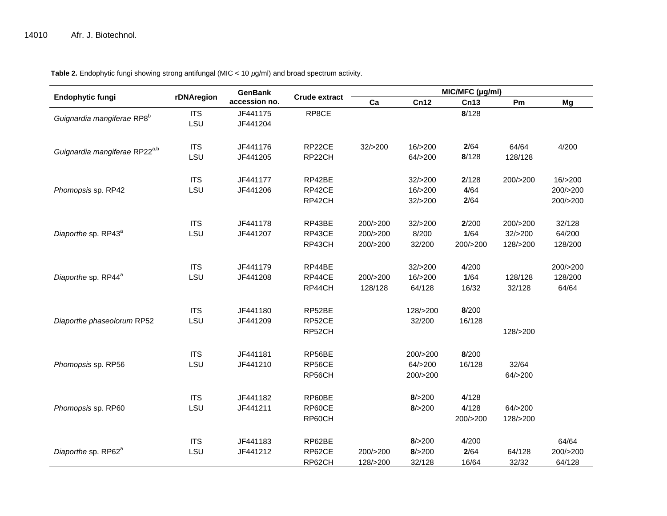| Endophytic fungi                          | rDNAregion | <b>GenBank</b><br>accession no. | <b>Crude extract</b> | MIC/MFC (µg/ml) |                      |          |          |          |  |
|-------------------------------------------|------------|---------------------------------|----------------------|-----------------|----------------------|----------|----------|----------|--|
|                                           |            |                                 |                      | Ca              | Cn12                 | Cn13     | Pm       | Mg       |  |
| Guignardia mangiferae RP8 <sup>b</sup>    | <b>ITS</b> | JF441175                        | RP8CE                |                 |                      | 8/128    |          |          |  |
|                                           | LSU        | JF441204                        |                      |                 |                      |          |          |          |  |
|                                           |            |                                 |                      |                 |                      |          |          |          |  |
| Guignardia mangiferae RP22 <sup>a,b</sup> | <b>ITS</b> | JF441176                        | RP22CE               | 32/>200         | 16/>200              | 2/64     | 64/64    | 4/200    |  |
|                                           | LSU        | JF441205                        | RP22CH               |                 | 64/>200              | 8/128    | 128/128  |          |  |
|                                           | <b>ITS</b> | JF441177                        | RP42BE               |                 | 32/>200              | 2/128    | 200/>200 | 16/>200  |  |
| Phomopsis sp. RP42                        | LSU        | JF441206                        | RP42CE               |                 | 16/>200              | 4/64     |          | 200/>200 |  |
|                                           |            |                                 | RP42CH               |                 | 32/>200              | 2/64     |          | 200/>200 |  |
|                                           |            |                                 |                      |                 |                      |          |          |          |  |
|                                           | <b>ITS</b> | JF441178                        | RP43BE               | 200/>200        | 32/>200              | 2/200    | 200/>200 | 32/128   |  |
| Diaporthe sp. RP43 <sup>a</sup>           | LSU        | JF441207                        | RP43CE               | 200/>200        | 8/200                | 1/64     | 32/>200  | 64/200   |  |
|                                           |            |                                 | RP43CH               | 200/>200        | 32/200               | 200/>200 | 128/>200 | 128/200  |  |
|                                           |            |                                 |                      |                 |                      |          |          |          |  |
|                                           | <b>ITS</b> | JF441179                        | RP44BE               |                 | 32/>200              | 4/200    |          | 200/>200 |  |
| Diaporthe sp. RP44 <sup>a</sup>           | LSU        | JF441208                        | RP44CE               | 200/>200        | 16/>200              | 1/64     | 128/128  | 128/200  |  |
|                                           |            |                                 | RP44CH               | 128/128         | 64/128               | 16/32    | 32/128   | 64/64    |  |
|                                           | <b>ITS</b> | JF441180                        | RP52BE               |                 | 128/>200             | 8/200    |          |          |  |
| Diaporthe phaseolorum RP52                | LSU        | JF441209                        | RP52CE               |                 | 32/200               | 16/128   |          |          |  |
|                                           |            |                                 | RP52CH               |                 |                      |          | 128/>200 |          |  |
|                                           |            |                                 |                      |                 |                      |          |          |          |  |
|                                           | <b>ITS</b> | JF441181                        | RP56BE               |                 | 200/>200             | 8/200    |          |          |  |
| Phomopsis sp. RP56                        | LSU        | JF441210                        | RP56CE               |                 | 64/>200              | 16/128   | 32/64    |          |  |
|                                           |            |                                 | RP56CH               |                 | 200/>200             |          | 64/>200  |          |  |
|                                           | <b>ITS</b> | JF441182                        | RP60BE               |                 |                      | 4/128    |          |          |  |
|                                           | LSU        | JF441211                        | RP60CE               |                 | 8/ > 200<br>8/ > 200 | 4/128    | 64/>200  |          |  |
| Phomopsis sp. RP60                        |            |                                 |                      |                 |                      |          |          |          |  |
|                                           |            |                                 | RP60CH               |                 |                      | 200/>200 | 128/>200 |          |  |
|                                           | <b>ITS</b> | JF441183                        | RP62BE               |                 | 8/ > 200             | 4/200    |          | 64/64    |  |
| Diaporthe sp. RP62 <sup>a</sup>           | LSU        | JF441212                        | RP62CE               | 200/>200        | 8/ > 200             | 2/64     | 64/128   | 200/>200 |  |
|                                           |            |                                 | RP62CH               | 128/>200        | 32/128               | 16/64    | 32/32    | 64/128   |  |

**Table 2.** Endophytic fungi showing strong antifungal (MIC < 10 *μ*g/ml) and broad spectrum activity.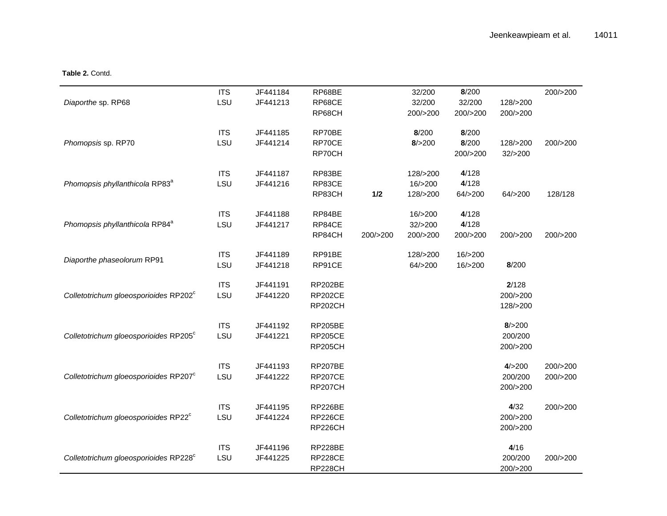## **Table 2.** Contd.

|                                                   | <b>ITS</b> | JF441184 | RP68BE         |          | 32/200    | 8/200    |          | 200/>200 |
|---------------------------------------------------|------------|----------|----------------|----------|-----------|----------|----------|----------|
| Diaporthe sp. RP68                                | LSU        | JF441213 | RP68CE         |          | 32/200    | 32/200   | 128/>200 |          |
|                                                   |            |          | RP68CH         |          | 200/>200  | 200/>200 | 200/>200 |          |
|                                                   | <b>ITS</b> | JF441185 | RP70BE         |          | 8/200     | 8/200    |          |          |
| Phomopsis sp. RP70                                | LSU        | JF441214 | RP70CE         |          | 8/ > 200  | 8/200    | 128/>200 | 200/>200 |
|                                                   |            |          | RP70CH         |          |           | 200/>200 | 32/>200  |          |
|                                                   | <b>ITS</b> | JF441187 | RP83BE         |          | 128/>200  | 4/128    |          |          |
| Phomopsis phyllanthicola RP83 <sup>a</sup>        | LSU        | JF441216 | RP83CE         |          | 16/ > 200 | 4/128    |          |          |
|                                                   |            |          | RP83CH         | 1/2      | 128/>200  | 64/>200  | 64/>200  | 128/128  |
|                                                   | <b>ITS</b> | JF441188 | RP84BE         |          | 16/>200   | 4/128    |          |          |
| Phomopsis phyllanthicola RP84 <sup>a</sup>        | LSU        | JF441217 | RP84CE         |          | 32/>200   | 4/128    |          |          |
|                                                   |            |          | RP84CH         | 200/>200 | 200/>200  | 200/>200 | 200/>200 | 200/>200 |
| Diaporthe phaseolorum RP91                        | <b>ITS</b> | JF441189 | RP91BE         |          | 128/>200  | 16/>200  |          |          |
|                                                   | LSU        | JF441218 | RP91CE         |          | 64/>200   | 16/>200  | 8/200    |          |
|                                                   | <b>ITS</b> | JF441191 | <b>RP202BE</b> |          |           |          | 2/128    |          |
| Colletotrichum gloeosporioides RP202°             | LSU        | JF441220 | <b>RP202CE</b> |          |           |          | 200/>200 |          |
|                                                   |            |          | RP202CH        |          |           |          | 128/>200 |          |
|                                                   | <b>ITS</b> | JF441192 | <b>RP205BE</b> |          |           |          | 8/ > 200 |          |
| Colletotrichum gloeosporioides RP205 <sup>c</sup> | LSU        | JF441221 | <b>RP205CE</b> |          |           |          | 200/200  |          |
|                                                   |            |          | <b>RP205CH</b> |          |           |          | 200/>200 |          |
|                                                   | <b>ITS</b> | JF441193 | <b>RP207BE</b> |          |           |          | 4/>200   | 200/>200 |
| Colletotrichum gloeosporioides RP207 <sup>c</sup> | LSU        | JF441222 | <b>RP207CE</b> |          |           |          | 200/200  | 200/>200 |
|                                                   |            |          | RP207CH        |          |           |          | 200/>200 |          |
|                                                   | <b>ITS</b> | JF441195 | RP226BE        |          |           |          | 4/32     | 200/>200 |
| Colletotrichum gloeosporioides RP22 <sup>c</sup>  | LSU        | JF441224 | <b>RP226CE</b> |          |           |          | 200/>200 |          |
|                                                   |            |          | RP226CH        |          |           |          | 200/>200 |          |
|                                                   | <b>ITS</b> | JF441196 | RP228BE        |          |           |          | 4/16     |          |
| Colletotrichum gloeosporioides RP228°             | LSU        | JF441225 | <b>RP228CE</b> |          |           |          | 200/200  | 200/>200 |
|                                                   |            |          | RP228CH        |          |           |          | 200/>200 |          |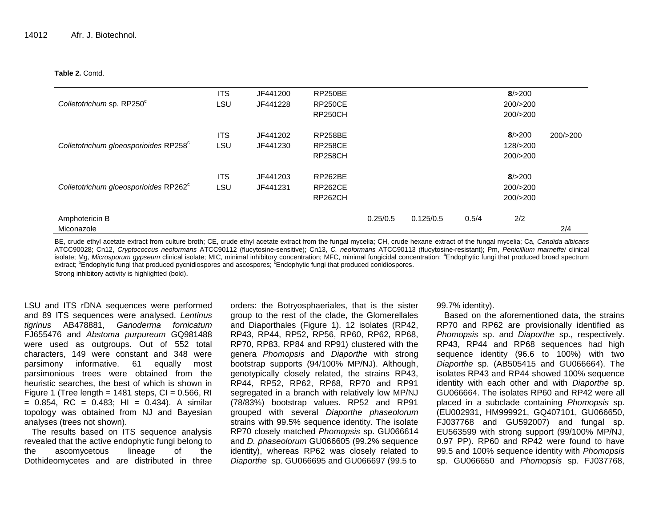#### **Table 2.** Contd.

|                                                   | <b>ITS</b> | JF441200 | <b>RP250BE</b> |          |           |       | 8/ > 200 |          |
|---------------------------------------------------|------------|----------|----------------|----------|-----------|-------|----------|----------|
| Colletotrichum sp. RP250°                         | LSU        | JF441228 | <b>RP250CE</b> |          |           |       | 200/>200 |          |
|                                                   |            |          | <b>RP250CH</b> |          |           |       | 200/>200 |          |
|                                                   | <b>ITS</b> | JF441202 | <b>RP258BE</b> |          |           |       | 8/ > 200 | 200/>200 |
| Colletotrichum gloeosporioides RP258°             | LSU        | JF441230 | <b>RP258CE</b> |          |           |       | 128/>200 |          |
|                                                   |            |          | <b>RP258CH</b> |          |           |       | 200/>200 |          |
|                                                   | <b>ITS</b> | JF441203 | RP262BE        |          |           |       | 8/ > 200 |          |
| Colletotrichum gloeosporioides RP262 <sup>c</sup> | LSU        | JF441231 | <b>RP262CE</b> |          |           |       | 200/>200 |          |
|                                                   |            |          | <b>RP262CH</b> |          |           |       | 200/>200 |          |
| Amphotericin B                                    |            |          |                | 0.25/0.5 | 0.125/0.5 | 0.5/4 | 2/2      |          |
| Miconazole                                        |            |          |                |          |           |       |          | 2/4      |

BE, crude ethyl acetate extract from culture broth; CE, crude ethyl acetate extract from the fungal mycelia; CH, crude hexane extract of the fungal mycelia; Ca, *Candida albicans*  ATCC90028; Cn12, *Cryptococcus neoformans* ATCC90112 (flucytosine-sensitive); Cn13, *C. neoformans* ATCC90113 (flucytosine-resistant); Pm, *Penicillium marneffei* clinical isolate; Mg, Microsporum gypseum clinical isolate; MIC, minimal inhibitory concentration; MFC, minimal fungicidal concentration; <sup>a</sup>Endophytic fungi that produced broad spectrum extract; <sup>b</sup>Endophytic fungi that produced pycnidiospores and ascospores; <sup>c</sup>Endophytic fungi that produced conidiospores. Strong inhibitory activity is highlighted (bold).

LSU and ITS rDNA sequences were performed and 89 ITS sequences were analysed. *Lentinus tigrinus* AB478881, *Ganoderma fornicatum* FJ655476 and *Abstoma purpureum* GQ981488 were used as outgroups. Out of 552 total characters, 149 were constant and 348 were parsimony informative. 61 equally most parsimonious trees were obtained from the heuristic searches, the best of which is shown in Figure 1 (Tree length =  $1481$  steps, CI = 0.566, RI  $= 0.854$ , RC  $= 0.483$ ; HI  $= 0.434$ ). A similar topology was obtained from NJ and Bayesian analyses (trees not shown).

The results based on ITS sequence analysis revealed that the active endophytic fungi belong to the ascomycetous lineage of the Dothideomycetes and are distributed in three

orders: the Botryosphaeriales, that is the sister group to the rest of the clade, the Glomerellales and Diaporthales (Figure 1). 12 isolates (RP42, RP43, RP44, RP52, RP56, RP60, RP62, RP68, RP70, RP83, RP84 and RP91) clustered with the genera *Phomopsis* and *Diaporthe* with strong bootstrap supports (94/100% MP/NJ). Although, genotypically closely related, the strains RP43, RP44, RP52, RP62, RP68, RP70 and RP91 segregated in a branch with relatively low MP/NJ (78/83%) bootstrap values. RP52 and RP91 grouped with several *Diaporthe phaseolorum* strains with 99.5% sequence identity. The isolate RP70 closely matched *Phomopsis* sp. GU066614 and *D. phaseolorum* GU066605 (99.2% sequence identity), whereas RP62 was closely related to *Diaporthe* sp. GU066695 and GU066697 (99.5 to

99.7% identity).

Based on the aforementioned data, the strains RP70 and RP62 are provisionally identified as *Phomopsis* sp. and *Diaporthe* sp., respectively. RP43, RP44 and RP68 sequences had high sequence identity (96.6 to 100%) with two *Diaporthe* sp. (AB505415 and GU066664). The isolates RP43 and RP44 showed 100% sequence identity with each other and with *Diaporthe* sp. GU066664. The isolates RP60 and RP42 were all placed in a subclade containing *Phomopsis* sp. (EU002931, HM999921, GQ407101, GU066650, FJ037768 and GU592007) and fungal sp. EU563599 with strong support (99/100% MP/NJ, 0.97 PP). RP60 and RP42 were found to have 99.5 and 100% sequence identity with *Phomopsis* sp. GU066650 and *Phomopsis* sp. FJ037768,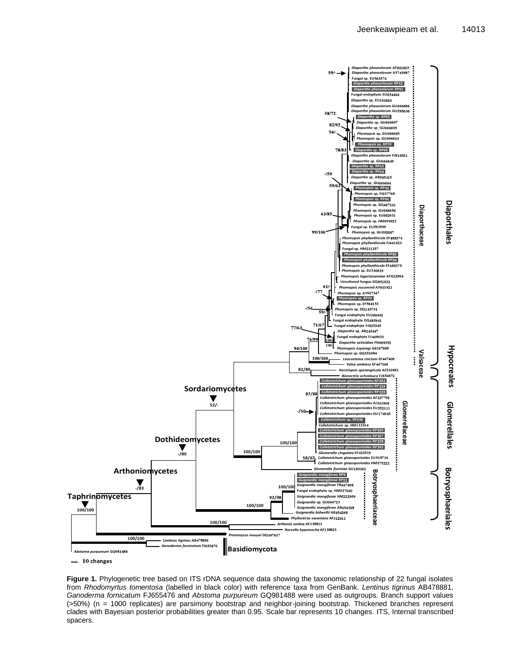

 $-10$  changes

**Figure 1.** Phylogenetic tree based on ITS rDNA sequence data showing the taxonomic relationship of 22 fungal isolates from *Rhodomyrtus tomentosa* (labelled in black color) with reference taxa from GenBank. *Lentinus tigrinus* AB478881, *Ganoderma fornicatum* FJ655476 and *Abstoma purpureum* GQ981488 were used as outgroups. Branch support values (>50%) (n = 1000 replicates) are parsimony bootstrap and neighbor-joining bootstrap. Thickened branches represent clades with Bayesian posterior probabilities greater than 0.95. Scale bar represents 10 changes. ITS, Internal transcribed spacers.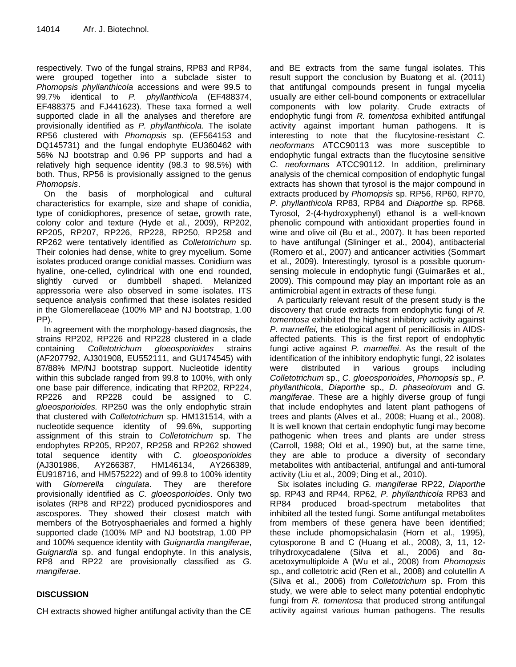respectively. Two of the fungal strains, RP83 and RP84, were grouped together into a subclade sister to *Phomopsis phyllanthicola* accessions and were 99.5 to 99.7% identical to *P. phyllanthicola* (EF488374, EF488375 and FJ441623). These taxa formed a well supported clade in all the analyses and therefore are provisionally identified as *P. phyllanthicola.* The isolate RP56 clustered with *Phomopsis* sp. (EF564153 and DQ145731) and the fungal endophyte EU360462 with 56% NJ bootstrap and 0.96 PP supports and had a relatively high sequence identity (98.3 to 98.5%) with both. Thus, RP56 is provisionally assigned to the genus *Phomopsis*.

On the basis of morphological and cultural characteristics for example, size and shape of conidia, type of conidiophores, presence of setae, growth rate, colony color and texture (Hyde et al., 2009), RP202, RP205, RP207, RP226, RP228, RP250, RP258 and RP262 were tentatively identified as *Colletotrichum* sp. Their colonies had dense, white to grey mycelium. Some isolates produced orange conidial masses. Conidium was hyaline, one-celled, cylindrical with one end rounded, slightly curved or dumbbell shaped. Melanized appressoria were also observed in some isolates. ITS sequence analysis confirmed that these isolates resided in the Glomerellaceae (100% MP and NJ bootstrap, 1.00 PP).

In agreement with the morphology-based diagnosis, the strains RP202, RP226 and RP228 clustered in a clade containing *Colletotrichum gloeosporioides* strains (AF207792, AJ301908, EU552111, and GU174545) with 87/88% MP/NJ bootstrap support. Nucleotide identity within this subclade ranged from 99.8 to 100%, with only one base pair difference, indicating that RP202, RP224, RP226 and RP228 could be assigned to *C. gloeosporioides.* RP250 was the only endophytic strain that clustered with *Colletotrichum* sp. HM131514, with a nucleotide sequence identity of 99.6%, supporting assignment of this strain to *Colletotrichum* sp. The endophytes RP205, RP207, RP258 and RP262 showed total sequence identity with *C. gloeosporioides* (AJ301986, AY266387, HM146134, AY266389, EU918716, and HM575222) and of 99.8 to 100% identity with *Glomerella cingulata*. They are therefore provisionally identified as *C. gloeosporioides*. Only two isolates (RP8 and RP22) produced pycnidiospores and ascospores. They showed their closest match with members of the Botryosphaeriales and formed a highly supported clade (100% MP and NJ bootstrap, 1.00 PP and 100% sequence identity with *Guignardia mangiferae*, *Guignardia* sp. and fungal endophyte. In this analysis, RP8 and RP22 are provisionally classified as *G. mangiferae.*

# **DISCUSSION**

CH extracts showed higher antifungal activity than the CE

and BE extracts from the same fungal isolates. This result support the conclusion by Buatong et al. (2011) that antifungal compounds present in fungal mycelia usually are either cell-bound components or extracellular components with low polarity. Crude extracts of endophytic fungi from *R. tomentosa* exhibited antifungal activity against important human pathogens. It is interesting to note that the flucytosine-resistant *C. neoformans* ATCC90113 was more susceptible to endophytic fungal extracts than the flucytosine sensitive *C. neoformans* ATCC90112. In addition, preliminary analysis of the chemical composition of endophytic fungal extracts has shown that tyrosol is the major compound in extracts produced by *Phomopsis* sp. RP56, RP60, RP70, *P. phyllanthicola* RP83, RP84 and *Diaporthe* sp. RP68. Tyrosol, 2-(4-hydroxyphenyl) ethanol is a well-known phenolic compound with antioxidant properties found in wine and olive oil (Bu et al., 2007). It has been reported to have antifungal (Slininger et al., 2004), antibacterial (Romero et al., 2007) and anticancer activities (Sommart et al., 2009). Interestingly, tyrosol is a possible quorumsensing molecule in endophytic fungi (Guimarães et al., 2009). This compound may play an important role as an antimicrobial agent in extracts of these fungi.

A particularly relevant result of the present study is the discovery that crude extracts from endophytic fungi of *R. tomentosa* exhibited the highest inhibitory activity against *P. marneffei,* the etiological agent of penicilliosis in AIDSaffected patients. This is the first report of endophytic fungi active against *P. marneffei*. As the result of the identification of the inhibitory endophytic fungi, 22 isolates were distributed in various groups including *Colletotrichum* sp., *C. gloeosporioides*, *Phomopsis* sp., *P. phyllanthicola*, *Diaporthe* sp., *D. phaseolorum* and *G. mangiferae*. These are a highly diverse group of fungi that include endophytes and latent plant pathogens of trees and plants (Alves et al., 2008; Huang et al., 2008). It is well known that certain endophytic fungi may become pathogenic when trees and plants are under stress (Carroll, 1988; Old et al., 1990) but, at the same time, they are able to produce a diversity of secondary metabolites with antibacterial, antifungal and anti-tumoral activity (Liu et al., 2009; Ding et al., 2010).

Six isolates including *G. mangiferae* RP22, *Diaporthe* sp. RP43 and RP44, RP62, *P. phyllanthicola* RP83 and RP84 produced broad-spectrum metabolites that inhibited all the tested fungi. Some antifungal metabolites from members of these genera have been identified; these include phomopsichalasin (Horn et al., 1995), cytosporone B and C (Huang et al., 2008), 3, 11, 12 trihydroxycadalene (Silva et al., 2006) and 8αacetoxymultiploide A (Wu et al., 2008) from *Phomopsis* sp., and colletotric acid (Ren et al., 2008) and colutellin A (Silva et al., 2006) from *Colletotrichum* sp. From this study, we were able to select many potential endophytic fungi from *R. tomentosa* that produced strong antifungal activity against various human pathogens. The results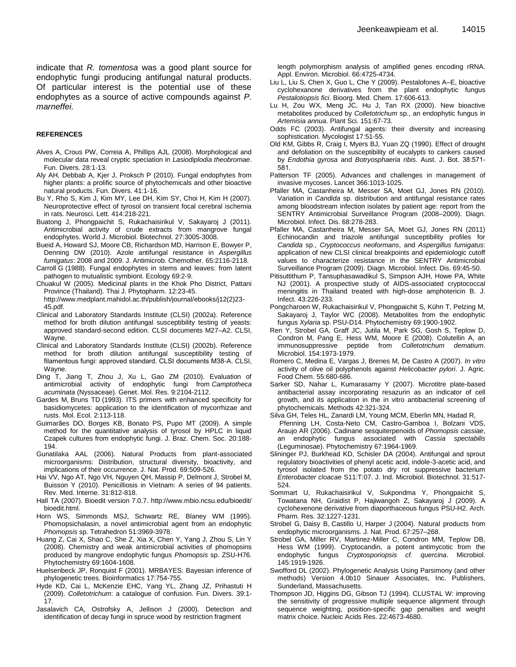indicate that *R. tomentosa* was a good plant source for endophytic fungi producing antifungal natural products. Of particular interest is the potential use of these endophytes as a source of active compounds against *P. marneffei.*

#### **REFERENCES**

- Alves A, Crous PW, Correia A, Phillips AJL (2008). Morphological and molecular data reveal cryptic speciation in *Lasiodiplodia theobromae*. Fun. Divers. 28:1-13.
- Aly AH, Debbab A, Kjer J, Proksch P (2010). Fungal endophytes from higher plants: a prolific source of phytochemicals and other bioactive natural products. Fun. Divers. 41:1-16.
- Bu Y, Rho S, Kim J, Kim MY, Lee DH, Kim SY, Choi H, Kim H (2007). Neuroprotective effect of tyrosol on transient focal cerebral ischemia in rats. Neurosci. Lett. 414:218-221.
- Buatong J, Phongpaichit S, Rukachaisirikul V, Sakayaroj J (2011). Antimicrobial activity of crude extracts from mangrove fungal endophytes. World J. Microbiol. Biotechnol. 27:3005-3008.
- Bueid A, Howard SJ, Moore CB, Richardson MD, Harrison E, Bowyer P, Denning DW (2010). Azole antifungal resistance in *Aspergillus fumigatus*: 2008 and 2009. J. Antimicrob. Chemother. 65:2116-2118.
- Carroll G (1988). Fungal endophytes in stems and leaves: from latent pathogen to mutualistic symbiont. Ecology 69:2-9.
- Chuakul W (2005). Medicinal plants in the Khok Pho District, Pattani Province (Thailand). Thai J. Phytopharm. 12:23-45.

http://www.medplant.mahidol.ac.th/publish/journal/ebooks/j12(2)23- 45.pdf.

- Clinical and Laboratory Standards Institute (CLSI) (2002a). Reference method for broth dilution antifungal susceptibility testing of yeasts: approved standard-second edition. CLSI documents M27–A2. CLSI, Wayne.
- Clinical and Laboratory Standards Institute (CLSI) (2002b). Reference method for broth dilution antifungal susceptibility testing of filamentous fungi: approved standard. CLSI documents M38-A. CLSI, Wayne.
- Ding T, Jiang T, Zhou J, Xu L, Gao ZM (2010). Evaluation of antimicrobial activity of endophytic fungi from *Camptotheca acuminata* (Nyssaceae). Genet. Mol. Res. 9:2104-2112.
- Gardes M, Bruns TD (1993). ITS primers with enhanced specificity for basidiomycetes: application to the identification of mycorrhizae and rusts. Mol. Ecol. 2:113-118.
- Guimarães DO, Borges KB, Bonato PS, Pupo MT (2009). A simple method for the quantitative analysis of tyrosol by HPLC in liquid Czapek cultures from endophytic fungi. J. Braz. Chem. Soc. 20:188- 194.
- Gunatilaka AAL (2006). Natural Products from plant-associated microorganisms: Distribution, structural diversity, bioactivity, and implications of their occurrence. J. Nat. Prod. 69:509-526.
- Hai VV, Ngo AT, Ngo VH, Nguyen QH, Massip P, Delmont J, Strobel M, Buisson Y (2010). Penicilliosis in Vietnam: A series of 94 patients. Rev. Med. Interne. 31:812-818.
- Hall TA (2007). Bioedit version 7.0.7. http://www.mbio.ncsu.edu/bioedit/ bioedit.html.
- Horn WS, Simmonds MSJ, Schwartz RE, Blaney WM (1995). Phomopsichalasin, a novel antimicrobial agent from an endophytic *Phomopsis* sp. Tetrahedron 51:3969-3978.
- Huang Z, Cai X, Shao C, She Z, Xia X, Chen Y, Yang J, Zhou S, Lin Y (2008). Chemistry and weak antimicrobial activities of phomopsins produced by mangrove endophytic fungus *Phomopsis* sp. ZSU-H76. Phytochemistry 69:1604-1608.
- Huelsenbeck JP, Ronquist F (2001). MRBAYES: Bayesian inference of phylogenetic trees. Bioinformatics 17:754-755.
- Hyde KD, Cai L, McKenzie EHC, Yang YL, Zhang JZ, Prihastuti H (2009). *Colletotrichum*: a catalogue of confusion. Fun. Divers. 39:1- 17.
- Jasalavich CA, Ostrofsky A, Jellison J (2000). Detection and identification of decay fungi in spruce wood by restriction fragment

length polymorphism analysis of amplified genes encoding rRNA. Appl. Environ. Microbiol. 66:4725-4734.

- Liu L, Liu S, Chen X, Guo L, Che Y (2009). Pestalofones A–E, bioactive cyclohexanone derivatives from the plant endophytic fungus *Pestalotiopsis fici*. Bioorg. Med. Chem. 17:606-613.
- Lu H, Zou WX, Meng JC, Hu J, Tan RX (2000). New bioactive metabolites produced by *Colletotrichum* sp., an endophytic fungus in *Artemisia annua*. Plant Sci. 151:67-73.
- Odds FC (2003). Antifungal agents: their diversity and increasing sophistication. Mycologist 17:51-55.
- Old KM, Gibbs R, Craig I, Myers BJ, Yuan ZQ (1990). Effect of drought and defoliation on the susceptibility of eucalypts to cankers caused by *Endothia gyrosa* and *Botryosphaeria ribis*. Aust. J. Bot. 38:571- 581.
- Patterson TF (2005). Advances and challenges in management of invasive mycoses. Lancet 366:1013-1025.
- Pfaller MA, Castanheira M, Messer SA, Moet GJ, Jones RN (2010). Variation in *Candida* sp. distribution and antifungal resistance rates among bloodstream infection isolates by patient age: report from the SENTRY Antimicrobial Surveillance Program (2008–2009). Diagn. Microbiol. Infect. Dis. 68:278-283.
- Pfaller MA, Castanheira M, Messer SA, Moet GJ, Jones RN (2011) Echinocandin and triazole antifungal susceptibility profiles for *Candida* sp., *Cryptococcus neoformans*, and *Aspergillus fumigatus*: application of new CLSI clinical breakpoints and epidemiologic cutoff values to characterize resistance in the SENTRY Antimicrobial Surveillance Program (2009). Diagn. Microbiol. Infect. Dis. 69:45-50.
- Pitisuttithum P, Tansuphasawadikul S, Simpson AJH, Howe PA, White NJ (2001). A prospective study of AIDS-associated cryptococcal meningitis in Thailand treated with high-dose amphotericin B. J. Infect. 43:226-233.
- Pongcharoen W, Rukachaisirikul V, Phongpaichit S, Kühn T, Pelzing M, Sakayaroj J, Taylor WC (2008). Metabolites from the endophytic fungus *Xylaria* sp. PSU-D14. Phytochemistry 69:1900-1902.
- Ren Y, Strobel GA, Graff JC, Jutila M, Park SG, Gosh S, Teplow D, Condron M, Pang E, Hess WM, Moore E (2008). Colutellin A, an immunosuppressive peptide from *Colletotrichum dematium*. Microbiol. 154:1973-1979.
- Romero C, Medina E, Vargas J, Brenes M, De Castro A (2007). *In vitro* activity of olive oil polyphenols against *Helicobacter pylori*. J. Agric. Food Chem. 55:680-686.
- Sarker SD, Nahar L, Kumarasamy Y (2007). Microtitre plate-based antibacterial assay incorporating resazurin as an indicator of cell growth, and its application in the in vitro antibacterial screening of phytochemicals. Methods 42:321-324.

Silva GH, Teles HL, Zanardi LM, Young MCM, Eberlin MN, Hadad R,

- Pfenning LH, Costa-Neto CM, Castro-Gamboa I, Bolzani VDS, Araujo AR (2006). Cadinane sesquiterpenoids of *Phomopsis cassiae*, an endophytic fungus associated with *Cassia spectabilis* (Leguminosae). Phytochemistry 67:1964-1969.
- Slininger PJ, Burkhead KD, Schisler DA (2004). Antifungal and sprout regulatory bioactivities of phenyl acetic acid, indole-3-acetic acid, and tyrosol isolated from the potato dry rot suppressive bacterium *Enterobacter cloacae* S11:T:07. J. Ind. Microbiol. Biotechnol. 31:517- 524.
- Sommart U, Rukachaisirikul V, Sukpondma Y, Phongpaichit S, Towatana NH, Graidist P, Hajiwangoh Z, Sakayaroj J (2009). A cyclohexenone derivative from diaporthaceous fungus PSU-H2. Arch. Pharm. Res. 32:1227-1231.
- Strobel G, Daisy B, Castillo U, Harper J (2004). Natural products from endophytic microorganisms. J. Nat. Prod. 67:257–268.
- Strobel GA, Miller RV, Martinez-Miller C, Condron MM, Teplow DB, Hess WM (1999). Cryptocandin, a potent antimycotic from the endophytic fungus *Cryptosporiopsis cf. quercina*. Microbiol. 145:1919-1926.
- Swofford DL (2002). Phylogenetic Analysis Using Parsimony (and other methods) Version 4.0b10 Sinauer Associates, Inc. Publishers, Sunderland, Massachusetts.
- Thompson JD, Higgins DG, Gibson TJ (1994). CLUSTAL W: improving the sensitivity of progressive multiple sequence alignment through sequence weighting, position-specific gap penalties and weight matrix choice. Nucleic Acids Res. 22:4673-4680.